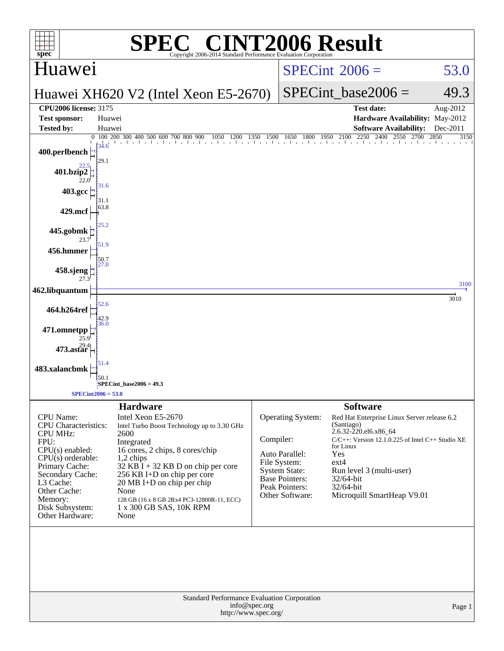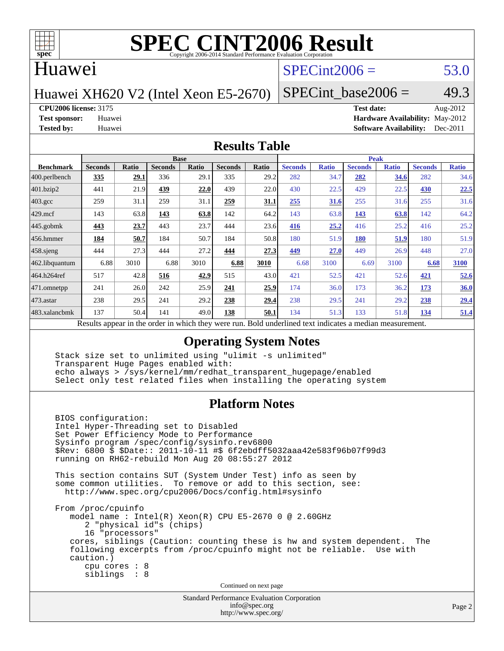

### Huawei

## $SPECint2006 = 53.0$  $SPECint2006 = 53.0$

Huawei XH620 V2 (Intel Xeon E5-2670)

SPECint base2006 =  $49.3$ 

**[CPU2006 license:](http://www.spec.org/auto/cpu2006/Docs/result-fields.html#CPU2006license)** 3175 **[Test date:](http://www.spec.org/auto/cpu2006/Docs/result-fields.html#Testdate)** Aug-2012

**[Test sponsor:](http://www.spec.org/auto/cpu2006/Docs/result-fields.html#Testsponsor)** Huawei **[Hardware Availability:](http://www.spec.org/auto/cpu2006/Docs/result-fields.html#HardwareAvailability)** May-2012 **[Tested by:](http://www.spec.org/auto/cpu2006/Docs/result-fields.html#Testedby)** Huawei **[Software Availability:](http://www.spec.org/auto/cpu2006/Docs/result-fields.html#SoftwareAvailability)** Dec-2011

### **[Results Table](http://www.spec.org/auto/cpu2006/Docs/result-fields.html#ResultsTable)**

|                  | <b>Base</b>                                                                                              |              |                |       |                |       | <b>Peak</b>    |              |                |              |                |              |  |
|------------------|----------------------------------------------------------------------------------------------------------|--------------|----------------|-------|----------------|-------|----------------|--------------|----------------|--------------|----------------|--------------|--|
| <b>Benchmark</b> | <b>Seconds</b>                                                                                           | <b>Ratio</b> | <b>Seconds</b> | Ratio | <b>Seconds</b> | Ratio | <b>Seconds</b> | <b>Ratio</b> | <b>Seconds</b> | <b>Ratio</b> | <b>Seconds</b> | <b>Ratio</b> |  |
| 400.perlbench    | 335                                                                                                      | 29.1         | 336            | 29.1  | 335            | 29.2  | 282            | 34.7         | 282            | 34.6         | 282            | 34.6         |  |
| 401.bzip2        | 441                                                                                                      | 21.9         | 439            | 22.0  | 439            | 22.0  | 430            | 22.5         | 429            | 22.5         | 430            | 22.5         |  |
| $403.\text{gcc}$ | 259                                                                                                      | 31.1         | 259            | 31.1  | 259            | 31.1  | 255            | 31.6         | 255            | 31.6         | 255            | 31.6         |  |
| $429$ .mcf       | 143                                                                                                      | 63.8         | 143            | 63.8  | 142            | 64.2  | 143            | 63.8         | 143            | 63.8         | 142            | 64.2         |  |
| $445$ .gobmk     | 443                                                                                                      | 23.7         | 443            | 23.7  | 444            | 23.6  | 416            | 25.2         | 416            | 25.2         | 416            | 25.2         |  |
| $456.$ hmmer     | 184                                                                                                      | 50.7         | 184            | 50.7  | 184            | 50.8  | 180            | 51.9         | <b>180</b>     | <u>51.9</u>  | 180            | 51.9         |  |
| $458$ .sjeng     | 444                                                                                                      | 27.3         | 444            | 27.2  | 444            | 27.3  | 449            | 27.0         | 449            | 26.9         | 448            | 27.0         |  |
| 462.libquantum   | 6.88                                                                                                     | 3010         | 6.88           | 3010  | 6.88           | 3010  | 6.68           | 3100         | 6.69           | 3100         | 6.68           | 3100         |  |
| 464.h264ref      | 517                                                                                                      | 42.8         | 516            | 42.9  | 515            | 43.0  | 421            | 52.5         | 421            | 52.6         | 421            | 52.6         |  |
| 471.omnetpp      | 241                                                                                                      | 26.0         | 242            | 25.9  | 241            | 25.9  | 174            | 36.0         | 173            | 36.2         | 173            | 36.0         |  |
| $473$ . astar    | 238                                                                                                      | 29.5         | 241            | 29.2  | 238            | 29.4  | 238            | 29.5         | 241            | 29.2         | 238            | 29.4         |  |
| 483.xalancbmk    | 137                                                                                                      | 50.4         | 141            | 49.0  | 138            | 50.1  | 134            | 51.3         | 133            | 51.8         | 134            | 51.4         |  |
|                  | Results appear in the order in which they were run. Bold underlined text indicates a median measurement. |              |                |       |                |       |                |              |                |              |                |              |  |

### **[Operating System Notes](http://www.spec.org/auto/cpu2006/Docs/result-fields.html#OperatingSystemNotes)**

 Stack size set to unlimited using "ulimit -s unlimited" Transparent Huge Pages enabled with: echo always > /sys/kernel/mm/redhat\_transparent\_hugepage/enabled Select only test related files when installing the operating system

### **[Platform Notes](http://www.spec.org/auto/cpu2006/Docs/result-fields.html#PlatformNotes)**

 BIOS configuration: Intel Hyper-Threading set to Disabled Set Power Efficiency Mode to Performance Sysinfo program /spec/config/sysinfo.rev6800 \$Rev: 6800 \$ \$Date:: 2011-10-11 #\$ 6f2ebdff5032aaa42e583f96b07f99d3 running on RH62-rebuild Mon Aug 20 08:55:27 2012 This section contains SUT (System Under Test) info as seen by some common utilities. To remove or add to this section, see: <http://www.spec.org/cpu2006/Docs/config.html#sysinfo> From /proc/cpuinfo model name : Intel(R) Xeon(R) CPU E5-2670 0 @ 2.60GHz 2 "physical id"s (chips) 16 "processors" cores, siblings (Caution: counting these is hw and system dependent. The following excerpts from /proc/cpuinfo might not be reliable. Use with caution.) cpu cores : 8 siblings : 8 Continued on next page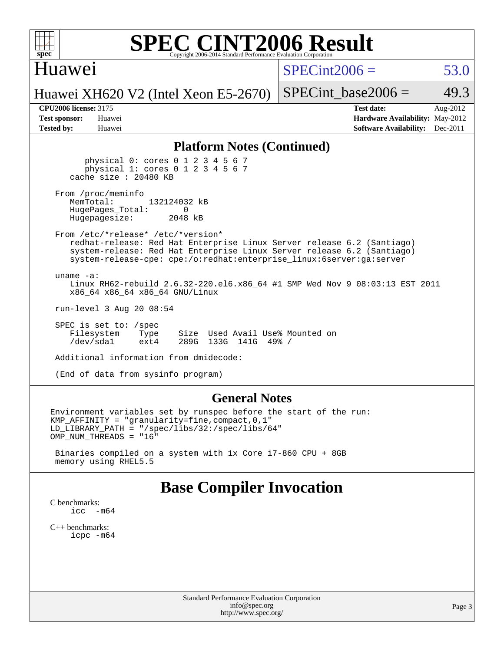

### Huawei

 $SPECint2006 = 53.0$  $SPECint2006 = 53.0$ 

Huawei XH620 V2 (Intel Xeon E5-2670)

SPECint base2006 =  $49.3$ 

**[CPU2006 license:](http://www.spec.org/auto/cpu2006/Docs/result-fields.html#CPU2006license)** 3175 **[Test date:](http://www.spec.org/auto/cpu2006/Docs/result-fields.html#Testdate)** Aug-2012 **[Test sponsor:](http://www.spec.org/auto/cpu2006/Docs/result-fields.html#Testsponsor)** Huawei **[Hardware Availability:](http://www.spec.org/auto/cpu2006/Docs/result-fields.html#HardwareAvailability)** May-2012 **[Tested by:](http://www.spec.org/auto/cpu2006/Docs/result-fields.html#Testedby)** Huawei **[Software Availability:](http://www.spec.org/auto/cpu2006/Docs/result-fields.html#SoftwareAvailability)** Dec-2011

### **[Platform Notes \(Continued\)](http://www.spec.org/auto/cpu2006/Docs/result-fields.html#PlatformNotes)**

 physical 0: cores 0 1 2 3 4 5 6 7 physical 1: cores 0 1 2 3 4 5 6 7 cache size : 20480 KB

From /proc/meminfo<br>MemTotal: 132124032 kB HugePages\_Total: 0<br>Hugepagesize: 2048 kB Hugepagesize:

 From /etc/\*release\* /etc/\*version\* redhat-release: Red Hat Enterprise Linux Server release 6.2 (Santiago) system-release: Red Hat Enterprise Linux Server release 6.2 (Santiago) system-release-cpe: cpe:/o:redhat:enterprise\_linux:6server:ga:server

 uname -a: Linux RH62-rebuild 2.6.32-220.el6.x86\_64 #1 SMP Wed Nov 9 08:03:13 EST 2011 x86\_64 x86\_64 x86\_64 GNU/Linux

run-level 3 Aug 20 08:54

 SPEC is set to: /spec Filesystem Type Size Used Avail Use% Mounted on /dev/sda1 ext4 289G 133G 141G 49% /

Additional information from dmidecode:

(End of data from sysinfo program)

### **[General Notes](http://www.spec.org/auto/cpu2006/Docs/result-fields.html#GeneralNotes)**

Environment variables set by runspec before the start of the run: KMP\_AFFINITY = "granularity=fine,compact,0,1" LD\_LIBRARY\_PATH = "/spec/libs/32:/spec/libs/64" OMP\_NUM\_THREADS = "16"

 Binaries compiled on a system with 1x Core i7-860 CPU + 8GB memory using RHEL5.5

### **[Base Compiler Invocation](http://www.spec.org/auto/cpu2006/Docs/result-fields.html#BaseCompilerInvocation)**

[C benchmarks](http://www.spec.org/auto/cpu2006/Docs/result-fields.html#Cbenchmarks): icc  $-m64$ 

[C++ benchmarks:](http://www.spec.org/auto/cpu2006/Docs/result-fields.html#CXXbenchmarks) [icpc -m64](http://www.spec.org/cpu2006/results/res2012q3/cpu2006-20120904-24403.flags.html#user_CXXbase_intel_icpc_64bit_fc66a5337ce925472a5c54ad6a0de310)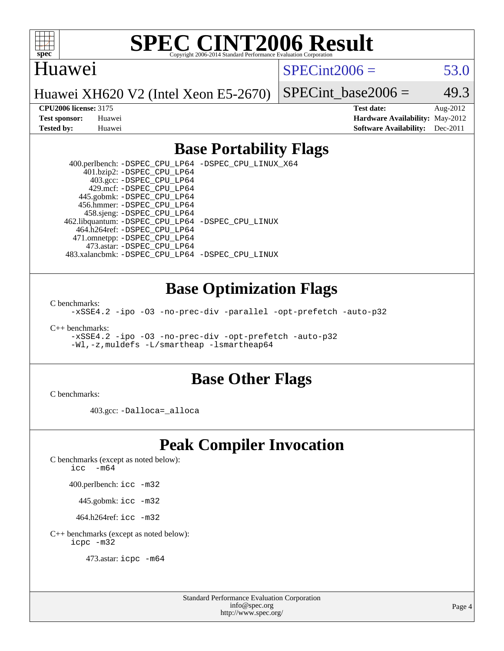

### Huawei

 $SPECint2006 = 53.0$  $SPECint2006 = 53.0$ 

Huawei XH620 V2 (Intel Xeon E5-2670)

SPECint base2006 =  $49.3$ 

**[CPU2006 license:](http://www.spec.org/auto/cpu2006/Docs/result-fields.html#CPU2006license)** 3175 **[Test date:](http://www.spec.org/auto/cpu2006/Docs/result-fields.html#Testdate)** Aug-2012 **[Test sponsor:](http://www.spec.org/auto/cpu2006/Docs/result-fields.html#Testsponsor)** Huawei **[Hardware Availability:](http://www.spec.org/auto/cpu2006/Docs/result-fields.html#HardwareAvailability)** May-2012 **[Tested by:](http://www.spec.org/auto/cpu2006/Docs/result-fields.html#Testedby)** Huawei **[Software Availability:](http://www.spec.org/auto/cpu2006/Docs/result-fields.html#SoftwareAvailability)** Dec-2011

### **[Base Portability Flags](http://www.spec.org/auto/cpu2006/Docs/result-fields.html#BasePortabilityFlags)**

 400.perlbench: [-DSPEC\\_CPU\\_LP64](http://www.spec.org/cpu2006/results/res2012q3/cpu2006-20120904-24403.flags.html#b400.perlbench_basePORTABILITY_DSPEC_CPU_LP64) [-DSPEC\\_CPU\\_LINUX\\_X64](http://www.spec.org/cpu2006/results/res2012q3/cpu2006-20120904-24403.flags.html#b400.perlbench_baseCPORTABILITY_DSPEC_CPU_LINUX_X64) 401.bzip2: [-DSPEC\\_CPU\\_LP64](http://www.spec.org/cpu2006/results/res2012q3/cpu2006-20120904-24403.flags.html#suite_basePORTABILITY401_bzip2_DSPEC_CPU_LP64) 403.gcc: [-DSPEC\\_CPU\\_LP64](http://www.spec.org/cpu2006/results/res2012q3/cpu2006-20120904-24403.flags.html#suite_basePORTABILITY403_gcc_DSPEC_CPU_LP64) 429.mcf: [-DSPEC\\_CPU\\_LP64](http://www.spec.org/cpu2006/results/res2012q3/cpu2006-20120904-24403.flags.html#suite_basePORTABILITY429_mcf_DSPEC_CPU_LP64) 445.gobmk: [-DSPEC\\_CPU\\_LP64](http://www.spec.org/cpu2006/results/res2012q3/cpu2006-20120904-24403.flags.html#suite_basePORTABILITY445_gobmk_DSPEC_CPU_LP64) 456.hmmer: [-DSPEC\\_CPU\\_LP64](http://www.spec.org/cpu2006/results/res2012q3/cpu2006-20120904-24403.flags.html#suite_basePORTABILITY456_hmmer_DSPEC_CPU_LP64) 458.sjeng: [-DSPEC\\_CPU\\_LP64](http://www.spec.org/cpu2006/results/res2012q3/cpu2006-20120904-24403.flags.html#suite_basePORTABILITY458_sjeng_DSPEC_CPU_LP64) 462.libquantum: [-DSPEC\\_CPU\\_LP64](http://www.spec.org/cpu2006/results/res2012q3/cpu2006-20120904-24403.flags.html#suite_basePORTABILITY462_libquantum_DSPEC_CPU_LP64) [-DSPEC\\_CPU\\_LINUX](http://www.spec.org/cpu2006/results/res2012q3/cpu2006-20120904-24403.flags.html#b462.libquantum_baseCPORTABILITY_DSPEC_CPU_LINUX) 464.h264ref: [-DSPEC\\_CPU\\_LP64](http://www.spec.org/cpu2006/results/res2012q3/cpu2006-20120904-24403.flags.html#suite_basePORTABILITY464_h264ref_DSPEC_CPU_LP64) 471.omnetpp: [-DSPEC\\_CPU\\_LP64](http://www.spec.org/cpu2006/results/res2012q3/cpu2006-20120904-24403.flags.html#suite_basePORTABILITY471_omnetpp_DSPEC_CPU_LP64) 473.astar: [-DSPEC\\_CPU\\_LP64](http://www.spec.org/cpu2006/results/res2012q3/cpu2006-20120904-24403.flags.html#suite_basePORTABILITY473_astar_DSPEC_CPU_LP64) 483.xalancbmk: [-DSPEC\\_CPU\\_LP64](http://www.spec.org/cpu2006/results/res2012q3/cpu2006-20120904-24403.flags.html#suite_basePORTABILITY483_xalancbmk_DSPEC_CPU_LP64) [-DSPEC\\_CPU\\_LINUX](http://www.spec.org/cpu2006/results/res2012q3/cpu2006-20120904-24403.flags.html#b483.xalancbmk_baseCXXPORTABILITY_DSPEC_CPU_LINUX)

### **[Base Optimization Flags](http://www.spec.org/auto/cpu2006/Docs/result-fields.html#BaseOptimizationFlags)**

[C benchmarks](http://www.spec.org/auto/cpu2006/Docs/result-fields.html#Cbenchmarks):

[-xSSE4.2](http://www.spec.org/cpu2006/results/res2012q3/cpu2006-20120904-24403.flags.html#user_CCbase_f-xSSE42_f91528193cf0b216347adb8b939d4107) [-ipo](http://www.spec.org/cpu2006/results/res2012q3/cpu2006-20120904-24403.flags.html#user_CCbase_f-ipo) [-O3](http://www.spec.org/cpu2006/results/res2012q3/cpu2006-20120904-24403.flags.html#user_CCbase_f-O3) [-no-prec-div](http://www.spec.org/cpu2006/results/res2012q3/cpu2006-20120904-24403.flags.html#user_CCbase_f-no-prec-div) [-parallel](http://www.spec.org/cpu2006/results/res2012q3/cpu2006-20120904-24403.flags.html#user_CCbase_f-parallel) [-opt-prefetch](http://www.spec.org/cpu2006/results/res2012q3/cpu2006-20120904-24403.flags.html#user_CCbase_f-opt-prefetch) [-auto-p32](http://www.spec.org/cpu2006/results/res2012q3/cpu2006-20120904-24403.flags.html#user_CCbase_f-auto-p32)

[C++ benchmarks:](http://www.spec.org/auto/cpu2006/Docs/result-fields.html#CXXbenchmarks)

[-xSSE4.2](http://www.spec.org/cpu2006/results/res2012q3/cpu2006-20120904-24403.flags.html#user_CXXbase_f-xSSE42_f91528193cf0b216347adb8b939d4107) [-ipo](http://www.spec.org/cpu2006/results/res2012q3/cpu2006-20120904-24403.flags.html#user_CXXbase_f-ipo) [-O3](http://www.spec.org/cpu2006/results/res2012q3/cpu2006-20120904-24403.flags.html#user_CXXbase_f-O3) [-no-prec-div](http://www.spec.org/cpu2006/results/res2012q3/cpu2006-20120904-24403.flags.html#user_CXXbase_f-no-prec-div) [-opt-prefetch](http://www.spec.org/cpu2006/results/res2012q3/cpu2006-20120904-24403.flags.html#user_CXXbase_f-opt-prefetch) [-auto-p32](http://www.spec.org/cpu2006/results/res2012q3/cpu2006-20120904-24403.flags.html#user_CXXbase_f-auto-p32) [-Wl,-z,muldefs](http://www.spec.org/cpu2006/results/res2012q3/cpu2006-20120904-24403.flags.html#user_CXXbase_link_force_multiple1_74079c344b956b9658436fd1b6dd3a8a) [-L/smartheap -lsmartheap64](http://www.spec.org/cpu2006/results/res2012q3/cpu2006-20120904-24403.flags.html#user_CXXbase_SmartHeap64_5e654037dadeae1fe403ab4b4466e60b)

### **[Base Other Flags](http://www.spec.org/auto/cpu2006/Docs/result-fields.html#BaseOtherFlags)**

[C benchmarks](http://www.spec.org/auto/cpu2006/Docs/result-fields.html#Cbenchmarks):

403.gcc: [-Dalloca=\\_alloca](http://www.spec.org/cpu2006/results/res2012q3/cpu2006-20120904-24403.flags.html#b403.gcc_baseEXTRA_CFLAGS_Dalloca_be3056838c12de2578596ca5467af7f3)

## **[Peak Compiler Invocation](http://www.spec.org/auto/cpu2006/Docs/result-fields.html#PeakCompilerInvocation)**

[C benchmarks \(except as noted below\)](http://www.spec.org/auto/cpu2006/Docs/result-fields.html#Cbenchmarksexceptasnotedbelow):

icc  $-m64$ 

400.perlbench: [icc -m32](http://www.spec.org/cpu2006/results/res2012q3/cpu2006-20120904-24403.flags.html#user_peakCCLD400_perlbench_intel_icc_a6a621f8d50482236b970c6ac5f55f93)

445.gobmk: [icc -m32](http://www.spec.org/cpu2006/results/res2012q3/cpu2006-20120904-24403.flags.html#user_peakCCLD445_gobmk_intel_icc_a6a621f8d50482236b970c6ac5f55f93)

464.h264ref: [icc -m32](http://www.spec.org/cpu2006/results/res2012q3/cpu2006-20120904-24403.flags.html#user_peakCCLD464_h264ref_intel_icc_a6a621f8d50482236b970c6ac5f55f93)

[C++ benchmarks \(except as noted below\):](http://www.spec.org/auto/cpu2006/Docs/result-fields.html#CXXbenchmarksexceptasnotedbelow) [icpc -m32](http://www.spec.org/cpu2006/results/res2012q3/cpu2006-20120904-24403.flags.html#user_CXXpeak_intel_icpc_4e5a5ef1a53fd332b3c49e69c3330699)

473.astar: [icpc -m64](http://www.spec.org/cpu2006/results/res2012q3/cpu2006-20120904-24403.flags.html#user_peakCXXLD473_astar_intel_icpc_64bit_fc66a5337ce925472a5c54ad6a0de310)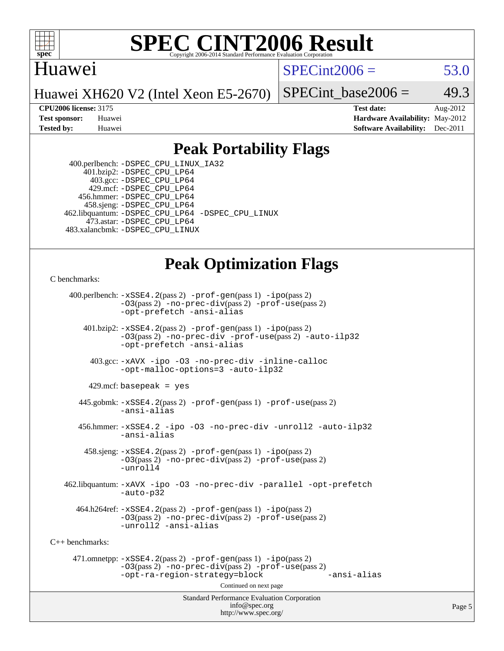

### Huawei

 $SPECint2006 = 53.0$  $SPECint2006 = 53.0$ 

Huawei XH620 V2 (Intel Xeon E5-2670)

SPECint base2006 =  $49.3$ 

**[CPU2006 license:](http://www.spec.org/auto/cpu2006/Docs/result-fields.html#CPU2006license)** 3175 **[Test date:](http://www.spec.org/auto/cpu2006/Docs/result-fields.html#Testdate)** Aug-2012 **[Test sponsor:](http://www.spec.org/auto/cpu2006/Docs/result-fields.html#Testsponsor)** Huawei **[Hardware Availability:](http://www.spec.org/auto/cpu2006/Docs/result-fields.html#HardwareAvailability)** May-2012 **[Tested by:](http://www.spec.org/auto/cpu2006/Docs/result-fields.html#Testedby)** Huawei **[Software Availability:](http://www.spec.org/auto/cpu2006/Docs/result-fields.html#SoftwareAvailability)** Dec-2011

## **[Peak Portability Flags](http://www.spec.org/auto/cpu2006/Docs/result-fields.html#PeakPortabilityFlags)**

 400.perlbench: [-DSPEC\\_CPU\\_LINUX\\_IA32](http://www.spec.org/cpu2006/results/res2012q3/cpu2006-20120904-24403.flags.html#b400.perlbench_peakCPORTABILITY_DSPEC_CPU_LINUX_IA32) 401.bzip2: [-DSPEC\\_CPU\\_LP64](http://www.spec.org/cpu2006/results/res2012q3/cpu2006-20120904-24403.flags.html#suite_peakPORTABILITY401_bzip2_DSPEC_CPU_LP64) 403.gcc: [-DSPEC\\_CPU\\_LP64](http://www.spec.org/cpu2006/results/res2012q3/cpu2006-20120904-24403.flags.html#suite_peakPORTABILITY403_gcc_DSPEC_CPU_LP64) 429.mcf: [-DSPEC\\_CPU\\_LP64](http://www.spec.org/cpu2006/results/res2012q3/cpu2006-20120904-24403.flags.html#suite_peakPORTABILITY429_mcf_DSPEC_CPU_LP64) 456.hmmer: [-DSPEC\\_CPU\\_LP64](http://www.spec.org/cpu2006/results/res2012q3/cpu2006-20120904-24403.flags.html#suite_peakPORTABILITY456_hmmer_DSPEC_CPU_LP64) 458.sjeng: [-DSPEC\\_CPU\\_LP64](http://www.spec.org/cpu2006/results/res2012q3/cpu2006-20120904-24403.flags.html#suite_peakPORTABILITY458_sjeng_DSPEC_CPU_LP64) 462.libquantum: [-DSPEC\\_CPU\\_LP64](http://www.spec.org/cpu2006/results/res2012q3/cpu2006-20120904-24403.flags.html#suite_peakPORTABILITY462_libquantum_DSPEC_CPU_LP64) [-DSPEC\\_CPU\\_LINUX](http://www.spec.org/cpu2006/results/res2012q3/cpu2006-20120904-24403.flags.html#b462.libquantum_peakCPORTABILITY_DSPEC_CPU_LINUX) 473.astar: [-DSPEC\\_CPU\\_LP64](http://www.spec.org/cpu2006/results/res2012q3/cpu2006-20120904-24403.flags.html#suite_peakPORTABILITY473_astar_DSPEC_CPU_LP64) 483.xalancbmk: [-DSPEC\\_CPU\\_LINUX](http://www.spec.org/cpu2006/results/res2012q3/cpu2006-20120904-24403.flags.html#b483.xalancbmk_peakCXXPORTABILITY_DSPEC_CPU_LINUX)

## **[Peak Optimization Flags](http://www.spec.org/auto/cpu2006/Docs/result-fields.html#PeakOptimizationFlags)**

[C benchmarks](http://www.spec.org/auto/cpu2006/Docs/result-fields.html#Cbenchmarks):

Standard Performance Evaluation Corporation [info@spec.org](mailto:info@spec.org) 400.perlbench: [-xSSE4.2](http://www.spec.org/cpu2006/results/res2012q3/cpu2006-20120904-24403.flags.html#user_peakPASS2_CFLAGSPASS2_LDCFLAGS400_perlbench_f-xSSE42_f91528193cf0b216347adb8b939d4107)(pass 2) [-prof-gen](http://www.spec.org/cpu2006/results/res2012q3/cpu2006-20120904-24403.flags.html#user_peakPASS1_CFLAGSPASS1_LDCFLAGS400_perlbench_prof_gen_e43856698f6ca7b7e442dfd80e94a8fc)(pass 1) [-ipo](http://www.spec.org/cpu2006/results/res2012q3/cpu2006-20120904-24403.flags.html#user_peakPASS2_CFLAGSPASS2_LDCFLAGS400_perlbench_f-ipo)(pass 2) [-O3](http://www.spec.org/cpu2006/results/res2012q3/cpu2006-20120904-24403.flags.html#user_peakPASS2_CFLAGSPASS2_LDCFLAGS400_perlbench_f-O3)(pass 2) [-no-prec-div](http://www.spec.org/cpu2006/results/res2012q3/cpu2006-20120904-24403.flags.html#user_peakPASS2_CFLAGSPASS2_LDCFLAGS400_perlbench_f-no-prec-div)(pass 2) [-prof-use](http://www.spec.org/cpu2006/results/res2012q3/cpu2006-20120904-24403.flags.html#user_peakPASS2_CFLAGSPASS2_LDCFLAGS400_perlbench_prof_use_bccf7792157ff70d64e32fe3e1250b55)(pass 2) [-opt-prefetch](http://www.spec.org/cpu2006/results/res2012q3/cpu2006-20120904-24403.flags.html#user_peakCOPTIMIZE400_perlbench_f-opt-prefetch) [-ansi-alias](http://www.spec.org/cpu2006/results/res2012q3/cpu2006-20120904-24403.flags.html#user_peakCOPTIMIZE400_perlbench_f-ansi-alias) 401.bzip2: [-xSSE4.2](http://www.spec.org/cpu2006/results/res2012q3/cpu2006-20120904-24403.flags.html#user_peakPASS2_CFLAGSPASS2_LDCFLAGS401_bzip2_f-xSSE42_f91528193cf0b216347adb8b939d4107)(pass 2) [-prof-gen](http://www.spec.org/cpu2006/results/res2012q3/cpu2006-20120904-24403.flags.html#user_peakPASS1_CFLAGSPASS1_LDCFLAGS401_bzip2_prof_gen_e43856698f6ca7b7e442dfd80e94a8fc)(pass 1) [-ipo](http://www.spec.org/cpu2006/results/res2012q3/cpu2006-20120904-24403.flags.html#user_peakPASS2_CFLAGSPASS2_LDCFLAGS401_bzip2_f-ipo)(pass 2) [-O3](http://www.spec.org/cpu2006/results/res2012q3/cpu2006-20120904-24403.flags.html#user_peakPASS2_CFLAGSPASS2_LDCFLAGS401_bzip2_f-O3)(pass 2) [-no-prec-div](http://www.spec.org/cpu2006/results/res2012q3/cpu2006-20120904-24403.flags.html#user_peakCOPTIMIZEPASS2_CFLAGSPASS2_LDCFLAGS401_bzip2_f-no-prec-div) [-prof-use](http://www.spec.org/cpu2006/results/res2012q3/cpu2006-20120904-24403.flags.html#user_peakPASS2_CFLAGSPASS2_LDCFLAGS401_bzip2_prof_use_bccf7792157ff70d64e32fe3e1250b55)(pass 2) [-auto-ilp32](http://www.spec.org/cpu2006/results/res2012q3/cpu2006-20120904-24403.flags.html#user_peakCOPTIMIZE401_bzip2_f-auto-ilp32) [-opt-prefetch](http://www.spec.org/cpu2006/results/res2012q3/cpu2006-20120904-24403.flags.html#user_peakCOPTIMIZE401_bzip2_f-opt-prefetch) [-ansi-alias](http://www.spec.org/cpu2006/results/res2012q3/cpu2006-20120904-24403.flags.html#user_peakCOPTIMIZE401_bzip2_f-ansi-alias) 403.gcc: [-xAVX](http://www.spec.org/cpu2006/results/res2012q3/cpu2006-20120904-24403.flags.html#user_peakCOPTIMIZE403_gcc_f-xAVX) [-ipo](http://www.spec.org/cpu2006/results/res2012q3/cpu2006-20120904-24403.flags.html#user_peakCOPTIMIZE403_gcc_f-ipo) [-O3](http://www.spec.org/cpu2006/results/res2012q3/cpu2006-20120904-24403.flags.html#user_peakCOPTIMIZE403_gcc_f-O3) [-no-prec-div](http://www.spec.org/cpu2006/results/res2012q3/cpu2006-20120904-24403.flags.html#user_peakCOPTIMIZE403_gcc_f-no-prec-div) [-inline-calloc](http://www.spec.org/cpu2006/results/res2012q3/cpu2006-20120904-24403.flags.html#user_peakCOPTIMIZE403_gcc_f-inline-calloc) [-opt-malloc-options=3](http://www.spec.org/cpu2006/results/res2012q3/cpu2006-20120904-24403.flags.html#user_peakCOPTIMIZE403_gcc_f-opt-malloc-options_13ab9b803cf986b4ee62f0a5998c2238) [-auto-ilp32](http://www.spec.org/cpu2006/results/res2012q3/cpu2006-20120904-24403.flags.html#user_peakCOPTIMIZE403_gcc_f-auto-ilp32)  $429$ .mcf: basepeak = yes 445.gobmk: [-xSSE4.2](http://www.spec.org/cpu2006/results/res2012q3/cpu2006-20120904-24403.flags.html#user_peakPASS2_CFLAGSPASS2_LDCFLAGS445_gobmk_f-xSSE42_f91528193cf0b216347adb8b939d4107)(pass 2) [-prof-gen](http://www.spec.org/cpu2006/results/res2012q3/cpu2006-20120904-24403.flags.html#user_peakPASS1_CFLAGSPASS1_LDCFLAGS445_gobmk_prof_gen_e43856698f6ca7b7e442dfd80e94a8fc)(pass 1) [-prof-use](http://www.spec.org/cpu2006/results/res2012q3/cpu2006-20120904-24403.flags.html#user_peakPASS2_CFLAGSPASS2_LDCFLAGS445_gobmk_prof_use_bccf7792157ff70d64e32fe3e1250b55)(pass 2) [-ansi-alias](http://www.spec.org/cpu2006/results/res2012q3/cpu2006-20120904-24403.flags.html#user_peakCOPTIMIZE445_gobmk_f-ansi-alias) 456.hmmer: [-xSSE4.2](http://www.spec.org/cpu2006/results/res2012q3/cpu2006-20120904-24403.flags.html#user_peakCOPTIMIZE456_hmmer_f-xSSE42_f91528193cf0b216347adb8b939d4107) [-ipo](http://www.spec.org/cpu2006/results/res2012q3/cpu2006-20120904-24403.flags.html#user_peakCOPTIMIZE456_hmmer_f-ipo) [-O3](http://www.spec.org/cpu2006/results/res2012q3/cpu2006-20120904-24403.flags.html#user_peakCOPTIMIZE456_hmmer_f-O3) [-no-prec-div](http://www.spec.org/cpu2006/results/res2012q3/cpu2006-20120904-24403.flags.html#user_peakCOPTIMIZE456_hmmer_f-no-prec-div) [-unroll2](http://www.spec.org/cpu2006/results/res2012q3/cpu2006-20120904-24403.flags.html#user_peakCOPTIMIZE456_hmmer_f-unroll_784dae83bebfb236979b41d2422d7ec2) [-auto-ilp32](http://www.spec.org/cpu2006/results/res2012q3/cpu2006-20120904-24403.flags.html#user_peakCOPTIMIZE456_hmmer_f-auto-ilp32) [-ansi-alias](http://www.spec.org/cpu2006/results/res2012q3/cpu2006-20120904-24403.flags.html#user_peakCOPTIMIZE456_hmmer_f-ansi-alias) 458.sjeng: [-xSSE4.2](http://www.spec.org/cpu2006/results/res2012q3/cpu2006-20120904-24403.flags.html#user_peakPASS2_CFLAGSPASS2_LDCFLAGS458_sjeng_f-xSSE42_f91528193cf0b216347adb8b939d4107)(pass 2) [-prof-gen](http://www.spec.org/cpu2006/results/res2012q3/cpu2006-20120904-24403.flags.html#user_peakPASS1_CFLAGSPASS1_LDCFLAGS458_sjeng_prof_gen_e43856698f6ca7b7e442dfd80e94a8fc)(pass 1) [-ipo](http://www.spec.org/cpu2006/results/res2012q3/cpu2006-20120904-24403.flags.html#user_peakPASS2_CFLAGSPASS2_LDCFLAGS458_sjeng_f-ipo)(pass 2) [-O3](http://www.spec.org/cpu2006/results/res2012q3/cpu2006-20120904-24403.flags.html#user_peakPASS2_CFLAGSPASS2_LDCFLAGS458_sjeng_f-O3)(pass 2) [-no-prec-div](http://www.spec.org/cpu2006/results/res2012q3/cpu2006-20120904-24403.flags.html#user_peakPASS2_CFLAGSPASS2_LDCFLAGS458_sjeng_f-no-prec-div)(pass 2) [-prof-use](http://www.spec.org/cpu2006/results/res2012q3/cpu2006-20120904-24403.flags.html#user_peakPASS2_CFLAGSPASS2_LDCFLAGS458_sjeng_prof_use_bccf7792157ff70d64e32fe3e1250b55)(pass 2) [-unroll4](http://www.spec.org/cpu2006/results/res2012q3/cpu2006-20120904-24403.flags.html#user_peakCOPTIMIZE458_sjeng_f-unroll_4e5e4ed65b7fd20bdcd365bec371b81f) 462.libquantum: [-xAVX](http://www.spec.org/cpu2006/results/res2012q3/cpu2006-20120904-24403.flags.html#user_peakCOPTIMIZE462_libquantum_f-xAVX) [-ipo](http://www.spec.org/cpu2006/results/res2012q3/cpu2006-20120904-24403.flags.html#user_peakCOPTIMIZE462_libquantum_f-ipo) [-O3](http://www.spec.org/cpu2006/results/res2012q3/cpu2006-20120904-24403.flags.html#user_peakCOPTIMIZE462_libquantum_f-O3) [-no-prec-div](http://www.spec.org/cpu2006/results/res2012q3/cpu2006-20120904-24403.flags.html#user_peakCOPTIMIZE462_libquantum_f-no-prec-div) [-parallel](http://www.spec.org/cpu2006/results/res2012q3/cpu2006-20120904-24403.flags.html#user_peakCOPTIMIZE462_libquantum_f-parallel) [-opt-prefetch](http://www.spec.org/cpu2006/results/res2012q3/cpu2006-20120904-24403.flags.html#user_peakCOPTIMIZE462_libquantum_f-opt-prefetch) [-auto-p32](http://www.spec.org/cpu2006/results/res2012q3/cpu2006-20120904-24403.flags.html#user_peakCOPTIMIZE462_libquantum_f-auto-p32)  $464.h264$ ref:  $-xSSE4$ .  $2(pass 2)$  [-prof-gen](http://www.spec.org/cpu2006/results/res2012q3/cpu2006-20120904-24403.flags.html#user_peakPASS1_CFLAGSPASS1_LDCFLAGS464_h264ref_prof_gen_e43856698f6ca7b7e442dfd80e94a8fc)(pass 1) [-ipo](http://www.spec.org/cpu2006/results/res2012q3/cpu2006-20120904-24403.flags.html#user_peakPASS2_CFLAGSPASS2_LDCFLAGS464_h264ref_f-ipo)(pass 2) [-O3](http://www.spec.org/cpu2006/results/res2012q3/cpu2006-20120904-24403.flags.html#user_peakPASS2_CFLAGSPASS2_LDCFLAGS464_h264ref_f-O3)(pass 2) [-no-prec-div](http://www.spec.org/cpu2006/results/res2012q3/cpu2006-20120904-24403.flags.html#user_peakPASS2_CFLAGSPASS2_LDCFLAGS464_h264ref_f-no-prec-div)(pass 2) [-prof-use](http://www.spec.org/cpu2006/results/res2012q3/cpu2006-20120904-24403.flags.html#user_peakPASS2_CFLAGSPASS2_LDCFLAGS464_h264ref_prof_use_bccf7792157ff70d64e32fe3e1250b55)(pass 2) [-unroll2](http://www.spec.org/cpu2006/results/res2012q3/cpu2006-20120904-24403.flags.html#user_peakCOPTIMIZE464_h264ref_f-unroll_784dae83bebfb236979b41d2422d7ec2) [-ansi-alias](http://www.spec.org/cpu2006/results/res2012q3/cpu2006-20120904-24403.flags.html#user_peakCOPTIMIZE464_h264ref_f-ansi-alias) [C++ benchmarks:](http://www.spec.org/auto/cpu2006/Docs/result-fields.html#CXXbenchmarks) 471.omnetpp: [-xSSE4.2](http://www.spec.org/cpu2006/results/res2012q3/cpu2006-20120904-24403.flags.html#user_peakPASS2_CXXFLAGSPASS2_LDCXXFLAGS471_omnetpp_f-xSSE42_f91528193cf0b216347adb8b939d4107)(pass 2) [-prof-gen](http://www.spec.org/cpu2006/results/res2012q3/cpu2006-20120904-24403.flags.html#user_peakPASS1_CXXFLAGSPASS1_LDCXXFLAGS471_omnetpp_prof_gen_e43856698f6ca7b7e442dfd80e94a8fc)(pass 1) [-ipo](http://www.spec.org/cpu2006/results/res2012q3/cpu2006-20120904-24403.flags.html#user_peakPASS2_CXXFLAGSPASS2_LDCXXFLAGS471_omnetpp_f-ipo)(pass 2) [-O3](http://www.spec.org/cpu2006/results/res2012q3/cpu2006-20120904-24403.flags.html#user_peakPASS2_CXXFLAGSPASS2_LDCXXFLAGS471_omnetpp_f-O3)(pass 2) [-no-prec-div](http://www.spec.org/cpu2006/results/res2012q3/cpu2006-20120904-24403.flags.html#user_peakPASS2_CXXFLAGSPASS2_LDCXXFLAGS471_omnetpp_f-no-prec-div)(pass 2) [-prof-use](http://www.spec.org/cpu2006/results/res2012q3/cpu2006-20120904-24403.flags.html#user_peakPASS2_CXXFLAGSPASS2_LDCXXFLAGS471_omnetpp_prof_use_bccf7792157ff70d64e32fe3e1250b55)(pass 2) [-opt-ra-region-strategy=block](http://www.spec.org/cpu2006/results/res2012q3/cpu2006-20120904-24403.flags.html#user_peakCXXOPTIMIZE471_omnetpp_f-opt-ra-region-strategy_5382940c29ea30302d682fc74bfe0147) [-ansi-alias](http://www.spec.org/cpu2006/results/res2012q3/cpu2006-20120904-24403.flags.html#user_peakCXXOPTIMIZE471_omnetpp_f-ansi-alias) Continued on next page

<http://www.spec.org/>